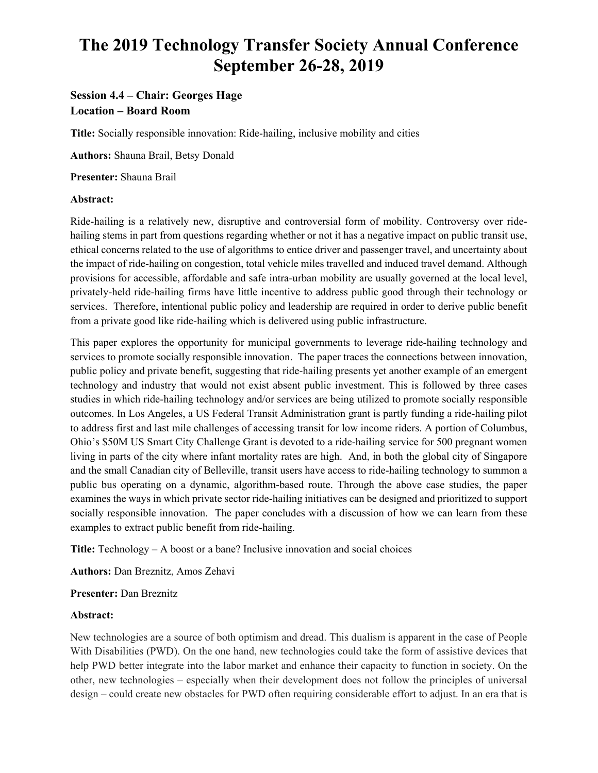# **The 2019 Technology Transfer Society Annual Conference September 26-28, 2019**

# **Session 4.4 – Chair: Georges Hage Location – Board Room**

**Title:** Socially responsible innovation: Ride-hailing, inclusive mobility and cities

**Authors:** Shauna Brail, Betsy Donald

**Presenter:** Shauna Brail

## **Abstract:**

Ride-hailing is a relatively new, disruptive and controversial form of mobility. Controversy over ridehailing stems in part from questions regarding whether or not it has a negative impact on public transit use, ethical concerns related to the use of algorithms to entice driver and passenger travel, and uncertainty about the impact of ride-hailing on congestion, total vehicle miles travelled and induced travel demand. Although provisions for accessible, affordable and safe intra-urban mobility are usually governed at the local level, privately-held ride-hailing firms have little incentive to address public good through their technology or services. Therefore, intentional public policy and leadership are required in order to derive public benefit from a private good like ride-hailing which is delivered using public infrastructure.

This paper explores the opportunity for municipal governments to leverage ride-hailing technology and services to promote socially responsible innovation. The paper traces the connections between innovation, public policy and private benefit, suggesting that ride-hailing presents yet another example of an emergent technology and industry that would not exist absent public investment. This is followed by three cases studies in which ride-hailing technology and/or services are being utilized to promote socially responsible outcomes. In Los Angeles, a US Federal Transit Administration grant is partly funding a ride-hailing pilot to address first and last mile challenges of accessing transit for low income riders. A portion of Columbus, Ohio's \$50M US Smart City Challenge Grant is devoted to a ride-hailing service for 500 pregnant women living in parts of the city where infant mortality rates are high. And, in both the global city of Singapore and the small Canadian city of Belleville, transit users have access to ride-hailing technology to summon a public bus operating on a dynamic, algorithm-based route. Through the above case studies, the paper examines the ways in which private sector ride-hailing initiatives can be designed and prioritized to support socially responsible innovation. The paper concludes with a discussion of how we can learn from these examples to extract public benefit from ride-hailing.

**Title:** Technology – A boost or a bane? Inclusive innovation and social choices

**Authors:** Dan Breznitz, Amos Zehavi

#### **Presenter:** Dan Breznitz

#### **Abstract:**

New technologies are a source of both optimism and dread. This dualism is apparent in the case of People With Disabilities (PWD). On the one hand, new technologies could take the form of assistive devices that help PWD better integrate into the labor market and enhance their capacity to function in society. On the other, new technologies – especially when their development does not follow the principles of universal design – could create new obstacles for PWD often requiring considerable effort to adjust. In an era that is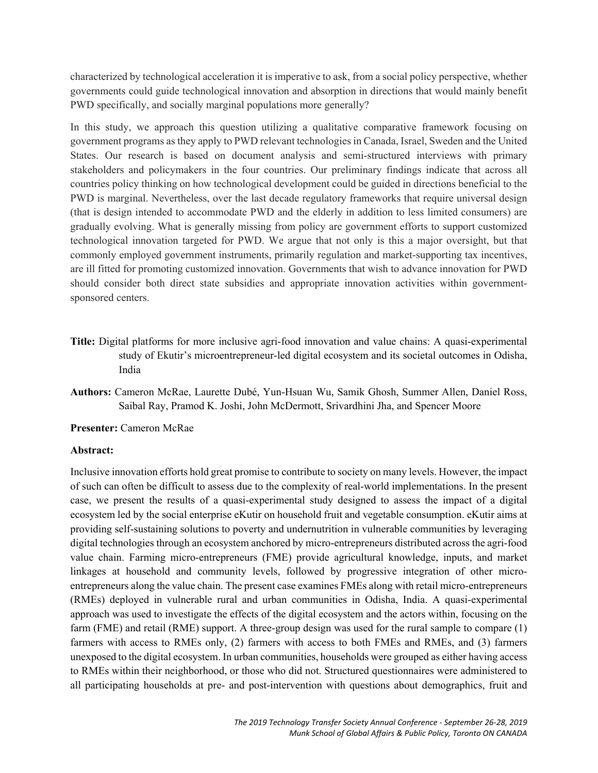characterized by technological acceleration it is imperative to ask, from a social policy perspective, whether governments could guide technological innovation and absorption in directions that would mainly benefit PWD specifically, and socially marginal populations more generally?

In this study, we approach this question utilizing a qualitative comparative framework focusing on government programs as they apply to PWD relevant technologies in Canada, Israel, Sweden and the United States. Our research is based on document analysis and semi-structured interviews with primary stakeholders and policymakers in the four countries. Our preliminary findings indicate that across all countries policy thinking on how technological development could be guided in directions beneficial to the PWD is marginal. Nevertheless, over the last decade regulatory frameworks that require universal design (that is design intended to accommodate PWD and the elderly in addition to less limited consumers) are gradually evolving. What is generally missing from policy are government efforts to support customized technological innovation targeted for PWD. We argue that not only is this a major oversight, but that commonly employed government instruments, primarily regulation and market-supporting tax incentives, are ill fitted for promoting customized innovation. Governments that wish to advance innovation for PWD should consider both direct state subsidies and appropriate innovation activities within governmentsponsored centers.

- **Title:** Digital platforms for more inclusive agri-food innovation and value chains: A quasi-experimental study of Ekutir's microentrepreneur-led digital ecosystem and its societal outcomes in Odisha, India
- **Authors:** Cameron McRae, Laurette Dubé, Yun-Hsuan Wu, Samik Ghosh, Summer Allen, Daniel Ross, Saibal Ray, Pramod K. Joshi, John McDermott, Srivardhini Jha, and Spencer Moore

**Presenter:** Cameron McRae

#### **Abstract:**

Inclusive innovation efforts hold great promise to contribute to society on many levels. However, the impact of such can often be difficult to assess due to the complexity of real-world implementations. In the present case, we present the results of a quasi-experimental study designed to assess the impact of a digital ecosystem led by the social enterprise eKutir on household fruit and vegetable consumption. eKutir aims at providing self-sustaining solutions to poverty and undernutrition in vulnerable communities by leveraging digital technologies through an ecosystem anchored by micro-entrepreneurs distributed across the agri-food value chain. Farming micro-entrepreneurs (FME) provide agricultural knowledge, inputs, and market linkages at household and community levels, followed by progressive integration of other microentrepreneurs along the value chain. The present case examines FMEs along with retail micro-entrepreneurs (RMEs) deployed in vulnerable rural and urban communities in Odisha, India. A quasi-experimental approach was used to investigate the effects of the digital ecosystem and the actors within, focusing on the farm (FME) and retail (RME) support. A three-group design was used for the rural sample to compare (1) farmers with access to RMEs only, (2) farmers with access to both FMEs and RMEs, and (3) farmers unexposed to the digital ecosystem. In urban communities, households were grouped as either having access to RMEs within their neighborhood, or those who did not. Structured questionnaires were administered to all participating households at pre- and post-intervention with questions about demographics, fruit and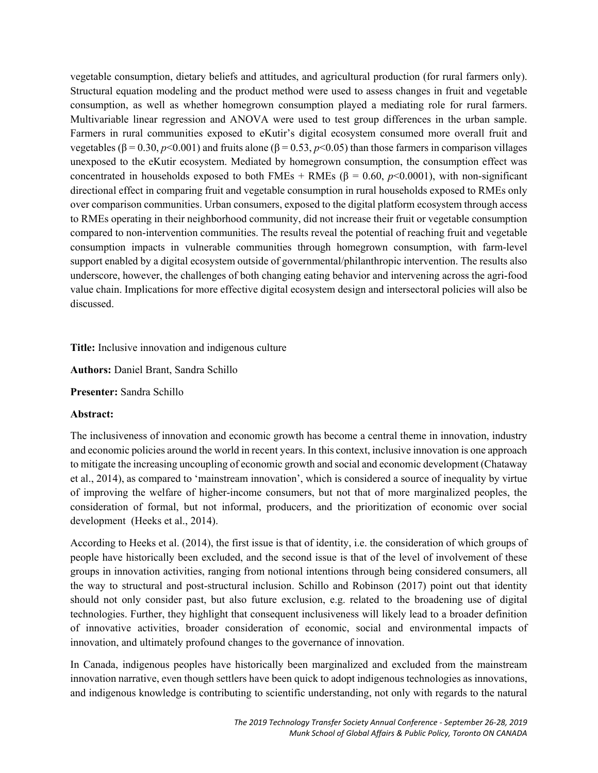vegetable consumption, dietary beliefs and attitudes, and agricultural production (for rural farmers only). Structural equation modeling and the product method were used to assess changes in fruit and vegetable consumption, as well as whether homegrown consumption played a mediating role for rural farmers. Multivariable linear regression and ANOVA were used to test group differences in the urban sample. Farmers in rural communities exposed to eKutir's digital ecosystem consumed more overall fruit and vegetables (β = 0.30, *p*<0.001) and fruits alone (β = 0.53, *p*<0.05) than those farmers in comparison villages unexposed to the eKutir ecosystem. Mediated by homegrown consumption, the consumption effect was concentrated in households exposed to both FMEs + RMEs ( $\beta$  = 0.60, *p*<0.0001), with non-significant directional effect in comparing fruit and vegetable consumption in rural households exposed to RMEs only over comparison communities. Urban consumers, exposed to the digital platform ecosystem through access to RMEs operating in their neighborhood community, did not increase their fruit or vegetable consumption compared to non-intervention communities. The results reveal the potential of reaching fruit and vegetable consumption impacts in vulnerable communities through homegrown consumption, with farm-level support enabled by a digital ecosystem outside of governmental/philanthropic intervention. The results also underscore, however, the challenges of both changing eating behavior and intervening across the agri-food value chain. Implications for more effective digital ecosystem design and intersectoral policies will also be discussed.

## **Title:** Inclusive innovation and indigenous culture

**Authors:** Daniel Brant, Sandra Schillo

**Presenter:** Sandra Schillo

#### **Abstract:**

The inclusiveness of innovation and economic growth has become a central theme in innovation, industry and economic policies around the world in recent years. In this context, inclusive innovation is one approach to mitigate the increasing uncoupling of economic growth and social and economic development (Chataway et al., 2014), as compared to 'mainstream innovation', which is considered a source of inequality by virtue of improving the welfare of higher-income consumers, but not that of more marginalized peoples, the consideration of formal, but not informal, producers, and the prioritization of economic over social development (Heeks et al., 2014).

According to Heeks et al. (2014), the first issue is that of identity, i.e. the consideration of which groups of people have historically been excluded, and the second issue is that of the level of involvement of these groups in innovation activities, ranging from notional intentions through being considered consumers, all the way to structural and post-structural inclusion. Schillo and Robinson (2017) point out that identity should not only consider past, but also future exclusion, e.g. related to the broadening use of digital technologies. Further, they highlight that consequent inclusiveness will likely lead to a broader definition of innovative activities, broader consideration of economic, social and environmental impacts of innovation, and ultimately profound changes to the governance of innovation.

In Canada, indigenous peoples have historically been marginalized and excluded from the mainstream innovation narrative, even though settlers have been quick to adopt indigenous technologies as innovations, and indigenous knowledge is contributing to scientific understanding, not only with regards to the natural